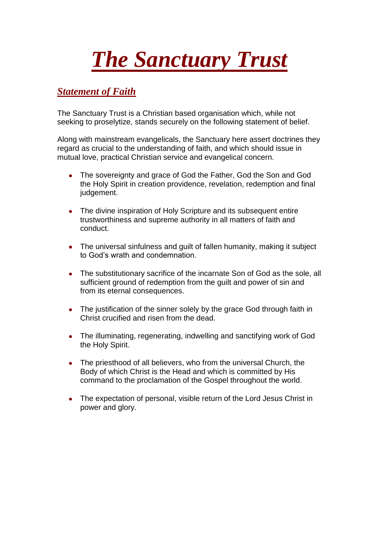## *The Sanctuary Trust*

## *Statement of Faith*

The Sanctuary Trust is a Christian based organisation which, while not seeking to proselytize, stands securely on the following statement of belief.

Along with mainstream evangelicals, the Sanctuary here assert doctrines they regard as crucial to the understanding of faith, and which should issue in mutual love, practical Christian service and evangelical concern.

- The sovereignty and grace of God the Father, God the Son and God  $\bullet$ the Holy Spirit in creation providence, revelation, redemption and final judgement.
- The divine inspiration of Holy Scripture and its subsequent entire trustworthiness and supreme authority in all matters of faith and conduct.
- The universal sinfulness and guilt of fallen humanity, making it subject to God's wrath and condemnation.
- The substitutionary sacrifice of the incarnate Son of God as the sole, all sufficient ground of redemption from the guilt and power of sin and from its eternal consequences.
- The justification of the sinner solely by the grace God through faith in Christ crucified and risen from the dead.
- The illuminating, regenerating, indwelling and sanctifying work of God the Holy Spirit.
- $\bullet$ The priesthood of all believers, who from the universal Church, the Body of which Christ is the Head and which is committed by His command to the proclamation of the Gospel throughout the world.
- The expectation of personal, visible return of the Lord Jesus Christ in  $\bullet$ power and glory.